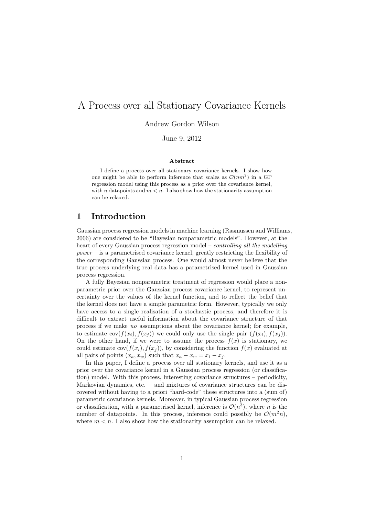# A Process over all Stationary Covariance Kernels

Andrew Gordon Wilson

June 9, 2012

#### Abstract

I define a process over all stationary covariance kernels. I show how one might be able to perform inference that scales as  $\mathcal{O}(nm^2)$  in a GP regression model using this process as a prior over the covariance kernel, with n datapoints and  $m < n$ . I also show how the stationarity assumption can be relaxed.

#### 1 Introduction

Gaussian process regression models in machine learning (Rasmussen and Williams, 2006) are considered to be "Bayesian nonparametric models". However, at the heart of every Gaussian process regression model – *controlling all the modelling*  $power - is a parametrised covariance,$  kernel, greatly restricting the flexibility of the corresponding Gaussian process. One would almost never believe that the true process underlying real data has a parametrised kernel used in Gaussian process regression.

A fully Bayesian nonparametric treatment of regression would place a nonparametric prior over the Gaussian process covariance kernel, to represent uncertainty over the values of the kernel function, and to reflect the belief that the kernel does not have a simple parametric form. However, typically we only have access to a single realisation of a stochastic process, and therefore it is difficult to extract useful information about the covariance structure of that process if we make no assumptions about the covariance kernel; for example, to estimate  $cov(f(x_i), f(x_j))$  we could only use the single pair  $(f(x_i), f(x_j))$ . On the other hand, if we were to assume the process  $f(x)$  is stationary, we could estimate  $cov(f(x_i), f(x_j))$ , by considering the function  $f(x)$  evaluated at all pairs of points  $(x_a, x_w)$  such that  $x_a - x_w = x_i - x_j$ .

In this paper, I define a process over all stationary kernels, and use it as a prior over the covariance kernel in a Gaussian process regression (or classification) model. With this process, interesting covariance structures – periodicity, Markovian dynamics, etc. – and mixtures of covariance structures can be discovered without having to a priori "hard-code" these structures into a (sum of) parametric covariance kernels. Moreover, in typical Gaussian process regression or classification, with a parametrised kernel, inference is  $\mathcal{O}(n^3)$ , where *n* is the number of datapoints. In this process, inference could possibly be  $\mathcal{O}(m^2n)$ , where  $m < n$ . I also show how the stationarity assumption can be relaxed.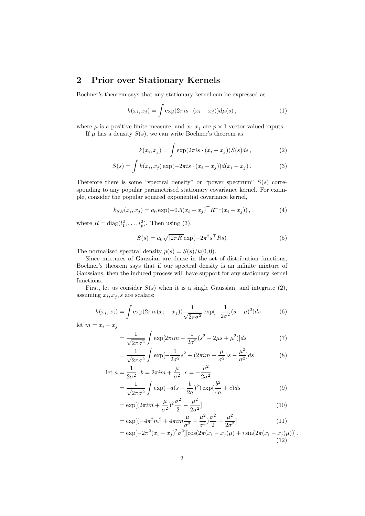# 2 Prior over Stationary Kernels

Bochner's theorem says that any stationary kernel can be expressed as

$$
k(x_i, x_j) = \int \exp(2\pi i s \cdot (x_i - x_j)) d\mu(s), \qquad (1)
$$

where  $\mu$  is a positive finite measure, and  $x_i, x_j$  are  $p \times 1$  vector valued inputs.

If  $\mu$  has a density  $S(s)$ , we can write Bochner's theorem as

$$
k(x_i, x_j) = \int \exp(2\pi i s \cdot (x_i - x_j)) S(s) ds,
$$
 (2)

$$
S(s) = \int k(x_i, x_j) \exp(-2\pi i s \cdot (x_i - x_j)) d(x_i - x_j).
$$
 (3)

Therefore there is some "spectral density" or "power spectrum"  $S(s)$  corresponding to any popular parametrised stationary covariance kernel. For example, consider the popular squared exponential covariance kernel,

$$
k_{SE}(x_i, x_j) = a_0 \exp(-0.5(x_i - x_j)^{\top} R^{-1}(x_i - x_j)), \qquad (4)
$$

where  $R = \text{diag}(l_1^2, \dots, l_p^2)$ . Then using (3),

$$
S(s) = a_0 \sqrt{|2\pi R|} \exp(-2\pi^2 s^\top R s)
$$
\n<sup>(5)</sup>

The normalised spectral density  $p(s) = S(s)/k(0, 0)$ .

Since mixtures of Gaussian are dense in the set of distribution functions, Bochner's theorem says that if our spectral density is an infinite mixture of Gaussians, then the induced process will have support for any stationary kernel functions.

First, let us consider  $S(s)$  when it is a single Gaussian, and integrate (2), assuming  $x_i, x_j, s$  are scalars:

$$
k(x_i, x_j) = \int \exp(2\pi i s (x_i - x_j)) \frac{1}{\sqrt{2\pi\sigma^2}} \exp(-\frac{1}{2\sigma^2} (s - \mu)^2) ds \tag{6}
$$

let  $m = x_i - x_j$ 

$$
= \frac{1}{\sqrt{2\pi\sigma^2}} \int \exp[2\pi i m - \frac{1}{2\sigma^2} (s^2 - 2\mu s + \mu^2)] ds \tag{7}
$$

$$
= \frac{1}{\sqrt{2\pi\sigma^2}} \int \exp[-\frac{1}{2\sigma^2} s^2 + (2\pi im + \frac{\mu}{\sigma^2})s - \frac{\mu^2}{\sigma^2}]ds \tag{8}
$$

$$
\begin{split} \text{let } a &= \frac{1}{2\sigma^2}, b = 2\pi i m + \frac{\mu}{\sigma^2}, c = -\frac{\mu^2}{2\sigma^2} \\ &= \frac{1}{\sqrt{2\pi\sigma^2}} \int \exp(-a(s - \frac{b}{2a})^2) \exp(\frac{b^2}{4a} + c) ds \end{split} \tag{9}
$$

$$
= \exp[(2\pi im + \frac{\mu}{\sigma^2})^2 \frac{\sigma^2}{2} - \frac{\mu^2}{2\sigma^2}]
$$
\n(10)

$$
= \exp[(-4\pi^2 m^2 + 4\pi i m \frac{\mu}{\sigma^2} + \frac{\mu^2}{\sigma^4}) \frac{\sigma^2}{2} - \frac{\mu^2}{2\sigma^2}]
$$
(11)

$$
= \exp[-2\pi^2(x_i - x_j)^2 \sigma^2] [\cos(2\pi(x_i - x_j)\mu) + i \sin(2\pi(x_i - x_j)\mu))].
$$
\n(12)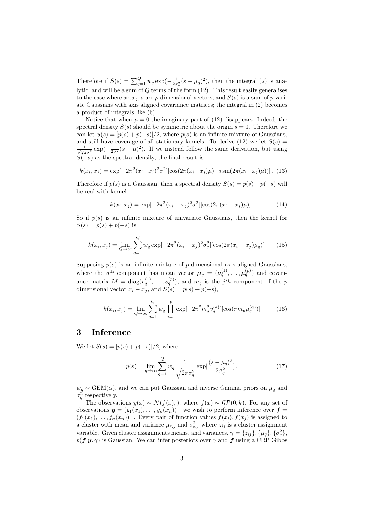Therefore if  $S(s) = \sum_{q=1}^{Q} w_q \exp(-\frac{1}{2\sigma_q^2}(s-\mu_q)^2)$ , then the integral (2) is analytic, and will be a sum of Q terms of the form (12). This result easily generalises to the case where  $x_i, x_j, s$  are p-dimensional vectors, and  $S(s)$  is a sum of p variate Gaussians with axis aligned covariance matrices; the integral in (2) becomes a product of integrals like (6).

Notice that when  $\mu = 0$  the imaginary part of (12) disappears. Indeed, the spectral density  $S(s)$  should be symmetric about the origin  $s = 0$ . Therefore we can let  $S(s) = [p(s) + p(-s)]/2$ , where  $p(s)$  is an infinite mixture of Gaussians, and still have coverage of all stationary kernels. To derive  $(12)$  we let  $S(s)$  =  $\frac{1}{\sqrt{2}}$  $\frac{1}{2\pi\sigma^2}$  exp( $-\frac{1}{2\sigma^2}(s-\mu)^2$ ). If we instead follow the same derivation, but using  $S(-s)$  as the spectral density, the final result is

$$
k(x_i, x_j) = \exp[-2\pi^2(x_i - x_j)^2 \sigma^2][\cos(2\pi(x_i - x_j)\mu) - i\sin(2\pi(x_i - x_j)\mu))].
$$
 (13)

Therefore if  $p(s)$  is a Gaussian, then a spectral density  $S(s) = p(s) + p(-s)$  will be real with kernel

$$
k(x_i, x_j) = \exp[-2\pi^2(x_i - x_j)^2 \sigma^2] [\cos(2\pi(x_i - x_j)\mu)].
$$
 (14)

So if  $p(s)$  is an infinite mixture of univariate Gaussians, then the kernel for  $S(s) = p(s) + p(-s)$  is

$$
k(x_i, x_j) = \lim_{Q \to \infty} \sum_{q=1}^{Q} w_q \exp[-2\pi^2 (x_i - x_j)^2 \sigma_q^2] [\cos(2\pi (x_i - x_j) \mu_q)] \tag{15}
$$

Supposing  $p(s)$  is an infinite mixture of p-dimensional axis aligned Gaussians, where the  $q^{\text{th}}$  component has mean vector  $\mu_q = (\mu_q^{(1)}, \dots, \mu_q^{(p)})$  and covariance matrix  $M = \text{diag}(v_q^{(1)}, \dots, v_q^{(p)})$ , and  $m_j$  is the *jth* component of the p dimensional vector  $x_i - x_j$ , and  $S(s) = p(s) + p(-s)$ ,

$$
k(x_i, x_j) = \lim_{Q \to \infty} \sum_{q=1}^{Q} w_q \prod_{a=1}^{p} \exp[-2\pi^2 m_a^2 v_q^{(a)}] [\cos(\pi m_a \mu_q^{(a)})]
$$
(16)

### 3 Inference

We let  $S(s) = [p(s) + p(-s)]/2$ , where

$$
p(s) = \lim_{q \to \infty} \sum_{q=1}^{Q} w_q \frac{1}{\sqrt{2\pi\sigma_q^2}} \exp\left[\frac{(s-\mu_q)^2}{2\sigma_q^2}\right].
$$
 (17)

 $w_q \sim \text{GEM}(\alpha)$ , and we can put Gaussian and inverse Gamma priors on  $\mu_q$  and  $\sigma_q^2$  respectively.

The observations  $y(x) \sim \mathcal{N}(f(x))$ , where  $f(x) \sim \mathcal{GP}(0, k)$ . For any set of observations  $y = (y_1(x_1), \ldots, y_n(x_n))^{\top}$  we wish to perform inference over  $f =$  $(f_1(x_1),..., f_n(x_n))^{\top}$ . Every pair of function values  $f(x_i), f(x_j)$  is assigned to a cluster with mean and variance  $\mu_{z_{ij}}$  and  $\sigma_{z_{ij}}^2$  where  $z_{ij}$  is a cluster assignment variable. Given cluster assignments means, and variances,  $\gamma = \{z_{ij}\}, \{\mu_q\}, \{\sigma_q^2\},\}$  $p(f|y, \gamma)$  is Gaussian. We can infer posteriors over  $\gamma$  and f using a CRP Gibbs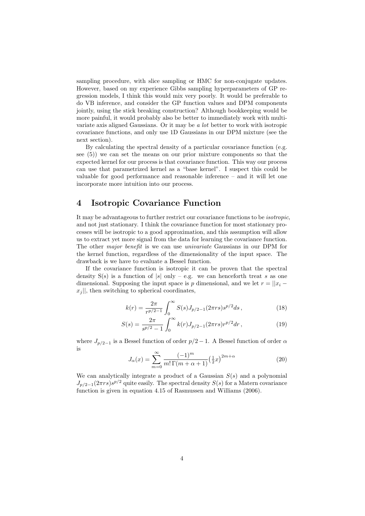sampling procedure, with slice sampling or HMC for non-conjugate updates. However, based on my experience Gibbs sampling hyperparameters of GP regression models, I think this would mix very poorly. It would be preferable to do VB inference, and consider the GP function values and DPM components jointly, using the stick breaking construction? Although bookkeeping would be more painful, it would probably also be better to immediately work with multivariate axis aligned Gaussians. Or it may be a lot better to work with isotropic covariance functions, and only use 1D Gaussians in our DPM mixture (see the next section).

By calculating the spectral density of a particular covariance function (e.g. see (5)) we can set the means on our prior mixture components so that the expected kernel for our process is that covariance function. This way our process can use that parametrized kernel as a "base kernel". I suspect this could be valuable for good performance and reasonable inference – and it will let one incorporate more intuition into our process.

## 4 Isotropic Covariance Function

It may be advantageous to further restrict our covariance functions to be isotropic, and not just stationary. I think the covariance function for most stationary processes will be isotropic to a good approximation, and this assumption will allow us to extract yet more signal from the data for learning the covariance function. The other *major benefit* is we can use *univariate* Gaussians in our DPM for the kernel function, regardless of the dimensionality of the input space. The drawback is we have to evaluate a Bessel function.

If the covariance function is isotropic it can be proven that the spectral density  $S(s)$  is a function of  $|s|$  only – e.g. we can henceforth treat s as one dimensional. Supposing the input space is p dimensional, and we let  $r = ||x_i$  $x_i$ , then switching to spherical coordinates,

$$
k(r) = \frac{2\pi}{r^{p/2 - 1}} \int_0^\infty S(s) J_{p/2 - 1}(2\pi rs) s^{p/2} ds,
$$
\n(18)

$$
S(s) = \frac{2\pi}{s^{p/2} - 1} \int_0^\infty k(r) J_{p/2 - 1}(2\pi rs) r^{p/2} dr,
$$
\n(19)

where  $J_{p/2-1}$  is a Bessel function of order  $p/2-1$ . A Bessel function of order  $\alpha$ is

$$
J_{\alpha}(x) = \sum_{m=0}^{\infty} \frac{(-1)^m}{m! \Gamma(m + \alpha + 1)} \left(\frac{1}{2}x\right)^{2m + \alpha} \tag{20}
$$

We can analytically integrate a product of a Gaussian  $S(s)$  and a polynomial  $J_{p/2-1}(2\pi rs)s^{p/2}$  quite easily. The spectral density  $S(s)$  for a Matern covariance function is given in equation 4.15 of Rasmussen and Williams (2006).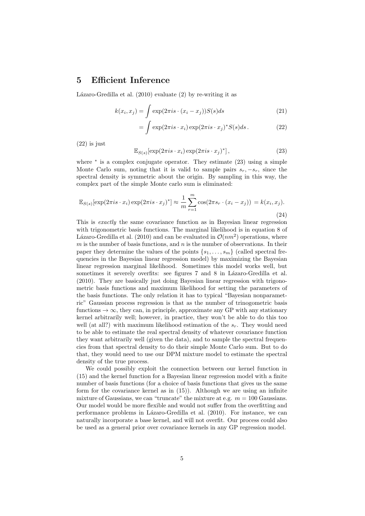#### 5 Efficient Inference

Lázaro-Gredilla et al.  $(2010)$  evaluate  $(2)$  by re-writing it as

$$
k(x_i, x_j) = \int \exp(2\pi i s \cdot (x_i - x_j)) S(s) ds \qquad (21)
$$

$$
= \int \exp(2\pi i s \cdot x_i) \exp(2\pi i s \cdot x_j)^* S(s) ds. \tag{22}
$$

(22) is just

$$
\mathbb{E}_{S(s)}[\exp(2\pi i s \cdot x_i) \exp(2\pi i s \cdot x_j)^*],\tag{23}
$$

where <sup>\*</sup> is a complex conjugate operator. They estimate  $(23)$  using a simple Monte Carlo sum, noting that it is valid to sample pairs  $s_r, -s_r$ , since the spectral density is symmetric about the origin. By sampling in this way, the complex part of the simple Monte carlo sum is eliminated:

$$
\mathbb{E}_{S(s)}[\exp(2\pi i s \cdot x_i) \exp(2\pi i s \cdot x_j)^*] \approx \frac{1}{m} \sum_{r=1}^m \cos(2\pi s_r \cdot (x_i - x_j)) = k(x_i, x_j).
$$
\n(24)

This is exactly the same covariance function as in Bayesian linear regression with trigonometric basis functions. The marginal likelihood is in equation 8 of Lázaro-Gredilla et al. (2010) and can be evaluated in  $\mathcal{O}(nm^2)$  operations, where  $m$  is the number of basis functions, and  $n$  is the number of observations. In their paper they determine the values of the points  $\{s_1, \ldots, s_m\}$  (called spectral frequencies in the Bayesian linear regression model) by maximizing the Bayesian linear regression marginal likelihood. Sometimes this model works well, but sometimes it severely overfits: see figures 7 and 8 in Lázaro-Gredilla et al. (2010). They are basically just doing Bayesian linear regression with trigonometric basis functions and maximum likelihood for setting the parameters of the basis functions. The only relation it has to typical "Bayesian nonparametric" Gaussian process regression is that as the number of trinogometric basis functions  $\rightarrow \infty$ , they can, in principle, approximate any GP with any stationary kernel arbitrarily well; however, in practice, they won't be able to do this too well (at all?) with maximum likelihood estimation of the  $s_r$ . They would need to be able to estimate the real spectral density of whatever covariance function they want arbitrarily well (given the data), and to sample the spectral frequencies from that spectral density to do their simple Monte Carlo sum. But to do that, they would need to use our DPM mixture model to estimate the spectral density of the true process.

We could possibly exploit the connection between our kernel function in (15) and the kernel function for a Bayesian linear regression model with a finite number of basis functions (for a choice of basis functions that gives us the same form for the covariance kernel as in (15)). Although we are using an infinite mixture of Gaussians, we can "truncate" the mixture at e.g.  $m = 100$  Gaussians. Our model would be more flexible and would not suffer from the overfitting and performance problems in Lázaro-Gredilla et al. (2010). For instance, we can naturally incorporate a base kernel, and will not overfit. Our process could also be used as a general prior over covariance kernels in any GP regression model.